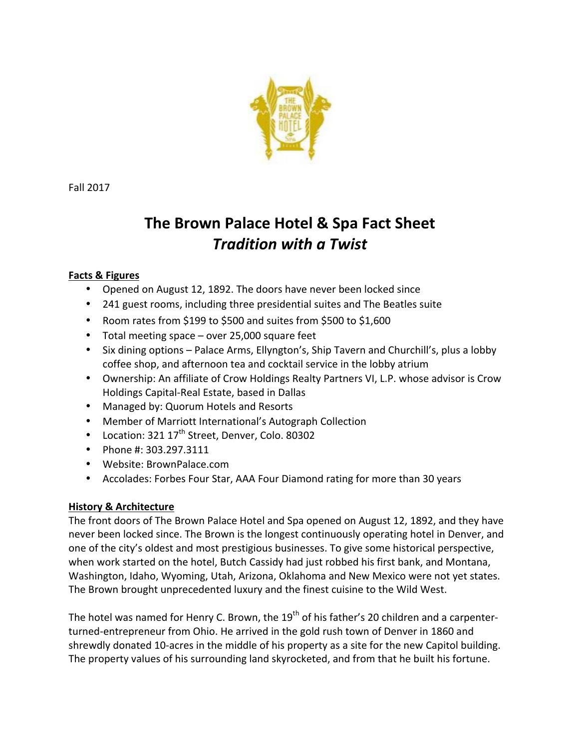

Fall 2017

# **The Brown Palace Hotel & Spa Fact Sheet** *Tradition with a Twist*

# **Facts & Figures**

- Opened on August 12, 1892. The doors have never been locked since
- 241 guest rooms, including three presidential suites and The Beatles suite
- Room rates from \$199 to \$500 and suites from \$500 to \$1,600
- Total meeting space  $-$  over 25,000 square feet
- Six dining options Palace Arms, Ellyngton's, Ship Tavern and Churchill's, plus a lobby coffee shop, and afternoon tea and cocktail service in the lobby atrium
- Ownership: An affiliate of Crow Holdings Realty Partners VI, L.P. whose advisor is Crow Holdings Capital-Real Estate, based in Dallas
- Managed by: Quorum Hotels and Resorts
- Member of Marriott International's Autograph Collection
- Location:  $321 17^{th}$  Street, Denver, Colo. 80302
- Phone #: 303.297.3111
- Website: BrownPalace.com
- Accolades: Forbes Four Star, AAA Four Diamond rating for more than 30 years

# **History & Architecture**

The front doors of The Brown Palace Hotel and Spa opened on August 12, 1892, and they have never been locked since. The Brown is the longest continuously operating hotel in Denver, and one of the city's oldest and most prestigious businesses. To give some historical perspective, when work started on the hotel, Butch Cassidy had just robbed his first bank, and Montana, Washington, Idaho, Wyoming, Utah, Arizona, Oklahoma and New Mexico were not yet states. The Brown brought unprecedented luxury and the finest cuisine to the Wild West.

The hotel was named for Henry C. Brown, the 19<sup>th</sup> of his father's 20 children and a carpenterturned-entrepreneur from Ohio. He arrived in the gold rush town of Denver in 1860 and shrewdly donated 10-acres in the middle of his property as a site for the new Capitol building. The property values of his surrounding land skyrocketed, and from that he built his fortune.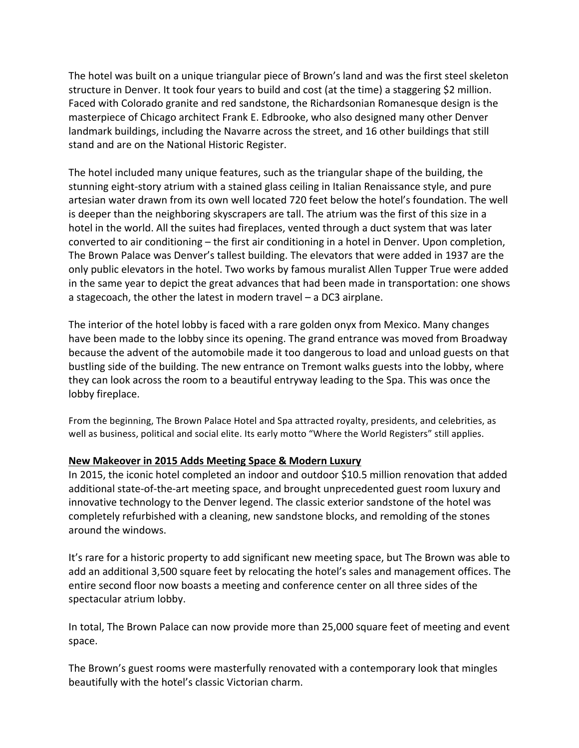The hotel was built on a unique triangular piece of Brown's land and was the first steel skeleton structure in Denver. It took four years to build and cost (at the time) a staggering \$2 million. Faced with Colorado granite and red sandstone, the Richardsonian Romanesque design is the masterpiece of Chicago architect Frank E. Edbrooke, who also designed many other Denver landmark buildings, including the Navarre across the street, and 16 other buildings that still stand and are on the National Historic Register.

The hotel included many unique features, such as the triangular shape of the building, the stunning eight-story atrium with a stained glass ceiling in Italian Renaissance style, and pure artesian water drawn from its own well located 720 feet below the hotel's foundation. The well is deeper than the neighboring skyscrapers are tall. The atrium was the first of this size in a hotel in the world. All the suites had fireplaces, vented through a duct system that was later converted to air conditioning – the first air conditioning in a hotel in Denver. Upon completion, The Brown Palace was Denver's tallest building. The elevators that were added in 1937 are the only public elevators in the hotel. Two works by famous muralist Allen Tupper True were added in the same year to depict the great advances that had been made in transportation: one shows a stagecoach, the other the latest in modern travel  $-$  a DC3 airplane.

The interior of the hotel lobby is faced with a rare golden onyx from Mexico. Many changes have been made to the lobby since its opening. The grand entrance was moved from Broadway because the advent of the automobile made it too dangerous to load and unload guests on that bustling side of the building. The new entrance on Tremont walks guests into the lobby, where they can look across the room to a beautiful entryway leading to the Spa. This was once the lobby fireplace.

From the beginning, The Brown Palace Hotel and Spa attracted royalty, presidents, and celebrities, as well as business, political and social elite. Its early motto "Where the World Registers" still applies.

## **New Makeover in 2015 Adds Meeting Space & Modern Luxury**

In 2015, the iconic hotel completed an indoor and outdoor \$10.5 million renovation that added additional state-of-the-art meeting space, and brought unprecedented guest room luxury and innovative technology to the Denver legend. The classic exterior sandstone of the hotel was completely refurbished with a cleaning, new sandstone blocks, and remolding of the stones around the windows.

It's rare for a historic property to add significant new meeting space, but The Brown was able to add an additional 3,500 square feet by relocating the hotel's sales and management offices. The entire second floor now boasts a meeting and conference center on all three sides of the spectacular atrium lobby.

In total, The Brown Palace can now provide more than 25,000 square feet of meeting and event space.

The Brown's guest rooms were masterfully renovated with a contemporary look that mingles beautifully with the hotel's classic Victorian charm.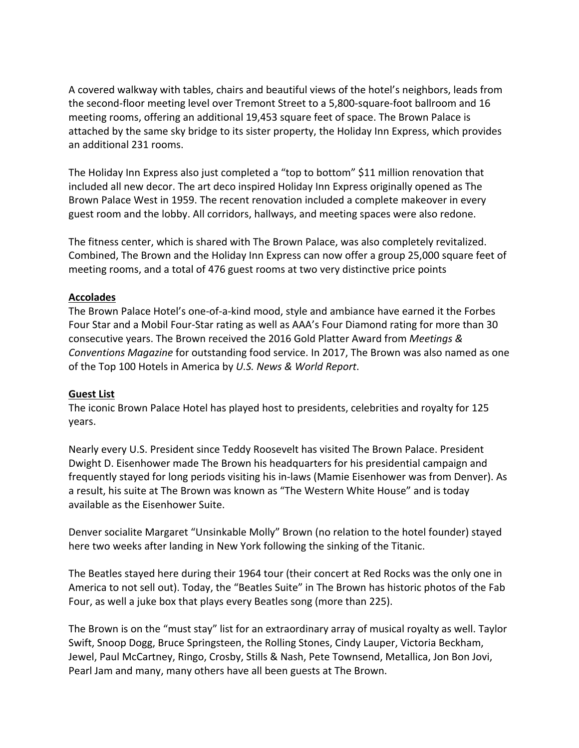A covered walkway with tables, chairs and beautiful views of the hotel's neighbors, leads from the second-floor meeting level over Tremont Street to a 5,800-square-foot ballroom and 16 meeting rooms, offering an additional 19,453 square feet of space. The Brown Palace is attached by the same sky bridge to its sister property, the Holiday Inn Express, which provides an additional 231 rooms.

The Holiday Inn Express also just completed a "top to bottom" \$11 million renovation that included all new decor. The art deco inspired Holiday Inn Express originally opened as The Brown Palace West in 1959. The recent renovation included a complete makeover in every guest room and the lobby. All corridors, hallways, and meeting spaces were also redone.

The fitness center, which is shared with The Brown Palace, was also completely revitalized. Combined, The Brown and the Holiday Inn Express can now offer a group 25,000 square feet of meeting rooms, and a total of 476 guest rooms at two very distinctive price points

## **Accolades**

The Brown Palace Hotel's one-of-a-kind mood, style and ambiance have earned it the Forbes Four Star and a Mobil Four-Star rating as well as AAA's Four Diamond rating for more than 30 consecutive years. The Brown received the 2016 Gold Platter Award from *Meetings & Conventions Magazine* for outstanding food service. In 2017, The Brown was also named as one of the Top 100 Hotels in America by *U.S. News & World Report*.

## **Guest List**

The iconic Brown Palace Hotel has played host to presidents, celebrities and royalty for 125 years.

Nearly every U.S. President since Teddy Roosevelt has visited The Brown Palace. President Dwight D. Eisenhower made The Brown his headquarters for his presidential campaign and frequently stayed for long periods visiting his in-laws (Mamie Eisenhower was from Denver). As a result, his suite at The Brown was known as "The Western White House" and is today available as the Eisenhower Suite.

Denver socialite Margaret "Unsinkable Molly" Brown (no relation to the hotel founder) stayed here two weeks after landing in New York following the sinking of the Titanic.

The Beatles stayed here during their 1964 tour (their concert at Red Rocks was the only one in America to not sell out). Today, the "Beatles Suite" in The Brown has historic photos of the Fab Four, as well a juke box that plays every Beatles song (more than 225).

The Brown is on the "must stay" list for an extraordinary array of musical royalty as well. Taylor Swift, Snoop Dogg, Bruce Springsteen, the Rolling Stones, Cindy Lauper, Victoria Beckham, Jewel, Paul McCartney, Ringo, Crosby, Stills & Nash, Pete Townsend, Metallica, Jon Bon Jovi, Pearl Jam and many, many others have all been guests at The Brown.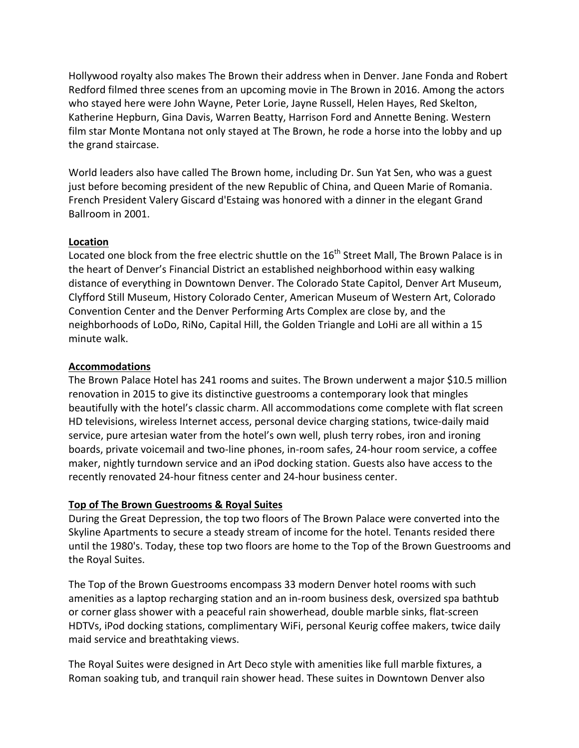Hollywood royalty also makes The Brown their address when in Denver. Jane Fonda and Robert Redford filmed three scenes from an upcoming movie in The Brown in 2016. Among the actors who stayed here were John Wayne, Peter Lorie, Jayne Russell, Helen Hayes, Red Skelton, Katherine Hepburn, Gina Davis, Warren Beatty, Harrison Ford and Annette Bening. Western film star Monte Montana not only stayed at The Brown, he rode a horse into the lobby and up the grand staircase.

World leaders also have called The Brown home, including Dr. Sun Yat Sen, who was a guest just before becoming president of the new Republic of China, and Queen Marie of Romania. French President Valery Giscard d'Estaing was honored with a dinner in the elegant Grand Ballroom in 2001.

## **Location**

Located one block from the free electric shuttle on the  $16<sup>th</sup>$  Street Mall, The Brown Palace is in the heart of Denver's Financial District an established neighborhood within easy walking distance of everything in Downtown Denver. The Colorado State Capitol, Denver Art Museum, Clyfford Still Museum, History Colorado Center, American Museum of Western Art, Colorado Convention Center and the Denver Performing Arts Complex are close by, and the neighborhoods of LoDo, RiNo, Capital Hill, the Golden Triangle and LoHi are all within a 15 minute walk.

## **Accommodations**

The Brown Palace Hotel has 241 rooms and suites. The Brown underwent a major \$10.5 million renovation in 2015 to give its distinctive guestrooms a contemporary look that mingles beautifully with the hotel's classic charm. All accommodations come complete with flat screen HD televisions, wireless Internet access, personal device charging stations, twice-daily maid service, pure artesian water from the hotel's own well, plush terry robes, iron and ironing boards, private voicemail and two-line phones, in-room safes, 24-hour room service, a coffee maker, nightly turndown service and an iPod docking station. Guests also have access to the recently renovated 24-hour fitness center and 24-hour business center.

## **Top of The Brown Guestrooms & Royal Suites**

During the Great Depression, the top two floors of The Brown Palace were converted into the Skyline Apartments to secure a steady stream of income for the hotel. Tenants resided there until the 1980's. Today, these top two floors are home to the Top of the Brown Guestrooms and the Royal Suites.

The Top of the Brown Guestrooms encompass 33 modern Denver hotel rooms with such amenities as a laptop recharging station and an in-room business desk, oversized spa bathtub or corner glass shower with a peaceful rain showerhead, double marble sinks, flat-screen HDTVs, iPod docking stations, complimentary WiFi, personal Keurig coffee makers, twice daily maid service and breathtaking views.

The Royal Suites were designed in Art Deco style with amenities like full marble fixtures, a Roman soaking tub, and tranquil rain shower head. These suites in Downtown Denver also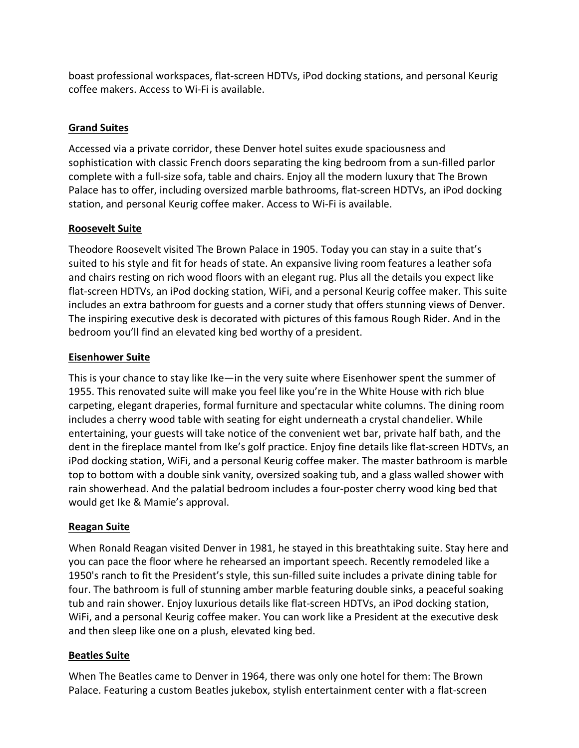boast professional workspaces, flat-screen HDTVs, iPod docking stations, and personal Keurig coffee makers. Access to Wi-Fi is available.

# **Grand Suites**

Accessed via a private corridor, these Denver hotel suites exude spaciousness and sophistication with classic French doors separating the king bedroom from a sun-filled parlor complete with a full-size sofa, table and chairs. Enjoy all the modern luxury that The Brown Palace has to offer, including oversized marble bathrooms, flat-screen HDTVs, an iPod docking station, and personal Keurig coffee maker. Access to Wi-Fi is available.

# **Roosevelt Suite**

Theodore Roosevelt visited The Brown Palace in 1905. Today you can stay in a suite that's suited to his style and fit for heads of state. An expansive living room features a leather sofa and chairs resting on rich wood floors with an elegant rug. Plus all the details you expect like flat-screen HDTVs, an iPod docking station, WiFi, and a personal Keurig coffee maker. This suite includes an extra bathroom for guests and a corner study that offers stunning views of Denver. The inspiring executive desk is decorated with pictures of this famous Rough Rider. And in the bedroom you'll find an elevated king bed worthy of a president.

# **Eisenhower Suite**

This is your chance to stay like Ike—in the very suite where Eisenhower spent the summer of 1955. This renovated suite will make you feel like you're in the White House with rich blue carpeting, elegant draperies, formal furniture and spectacular white columns. The dining room includes a cherry wood table with seating for eight underneath a crystal chandelier. While entertaining, your guests will take notice of the convenient wet bar, private half bath, and the dent in the fireplace mantel from Ike's golf practice. Enjoy fine details like flat-screen HDTVs, an iPod docking station, WiFi, and a personal Keurig coffee maker. The master bathroom is marble top to bottom with a double sink vanity, oversized soaking tub, and a glass walled shower with rain showerhead. And the palatial bedroom includes a four-poster cherry wood king bed that would get Ike & Mamie's approval.

# **Reagan Suite**

When Ronald Reagan visited Denver in 1981, he stayed in this breathtaking suite. Stay here and you can pace the floor where he rehearsed an important speech. Recently remodeled like a 1950's ranch to fit the President's style, this sun-filled suite includes a private dining table for four. The bathroom is full of stunning amber marble featuring double sinks, a peaceful soaking tub and rain shower. Enjoy luxurious details like flat-screen HDTVs, an iPod docking station, WiFi, and a personal Keurig coffee maker. You can work like a President at the executive desk and then sleep like one on a plush, elevated king bed.

# **Beatles Suite**

When The Beatles came to Denver in 1964, there was only one hotel for them: The Brown Palace. Featuring a custom Beatles jukebox, stylish entertainment center with a flat-screen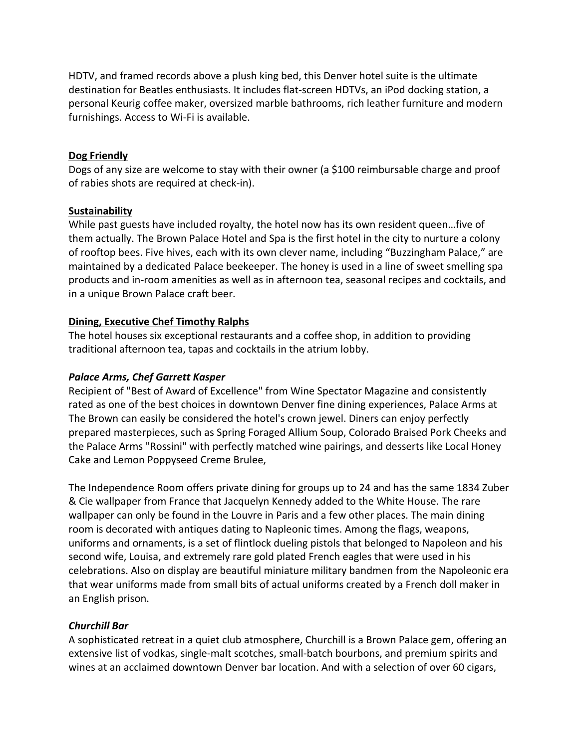HDTV, and framed records above a plush king bed, this Denver hotel suite is the ultimate destination for Beatles enthusiasts. It includes flat-screen HDTVs, an iPod docking station, a personal Keurig coffee maker, oversized marble bathrooms, rich leather furniture and modern furnishings. Access to Wi-Fi is available.

#### **Dog Friendly**

Dogs of any size are welcome to stay with their owner (a \$100 reimbursable charge and proof of rabies shots are required at check-in).

#### **Sustainability**

While past guests have included royalty, the hotel now has its own resident queen...five of them actually. The Brown Palace Hotel and Spa is the first hotel in the city to nurture a colony of rooftop bees. Five hives, each with its own clever name, including "Buzzingham Palace," are maintained by a dedicated Palace beekeeper. The honey is used in a line of sweet smelling spa products and in-room amenities as well as in afternoon tea, seasonal recipes and cocktails, and in a unique Brown Palace craft beer.

## **Dining, Executive Chef Timothy Ralphs**

The hotel houses six exceptional restaurants and a coffee shop, in addition to providing traditional afternoon tea, tapas and cocktails in the atrium lobby.

#### *Palace Arms, Chef Garrett Kasper*

Recipient of "Best of Award of Excellence" from Wine Spectator Magazine and consistently rated as one of the best choices in downtown Denver fine dining experiences, Palace Arms at The Brown can easily be considered the hotel's crown jewel. Diners can enjoy perfectly prepared masterpieces, such as Spring Foraged Allium Soup, Colorado Braised Pork Cheeks and the Palace Arms "Rossini" with perfectly matched wine pairings, and desserts like Local Honey Cake and Lemon Poppyseed Creme Brulee,

The Independence Room offers private dining for groups up to 24 and has the same 1834 Zuber & Cie wallpaper from France that Jacquelyn Kennedy added to the White House. The rare wallpaper can only be found in the Louvre in Paris and a few other places. The main dining room is decorated with antiques dating to Napleonic times. Among the flags, weapons, uniforms and ornaments, is a set of flintlock dueling pistols that belonged to Napoleon and his second wife, Louisa, and extremely rare gold plated French eagles that were used in his celebrations. Also on display are beautiful miniature military bandmen from the Napoleonic era that wear uniforms made from small bits of actual uniforms created by a French doll maker in an English prison.

## *Churchill Bar*

A sophisticated retreat in a quiet club atmosphere, Churchill is a Brown Palace gem, offering an extensive list of vodkas, single-malt scotches, small-batch bourbons, and premium spirits and wines at an acclaimed downtown Denver bar location. And with a selection of over 60 cigars,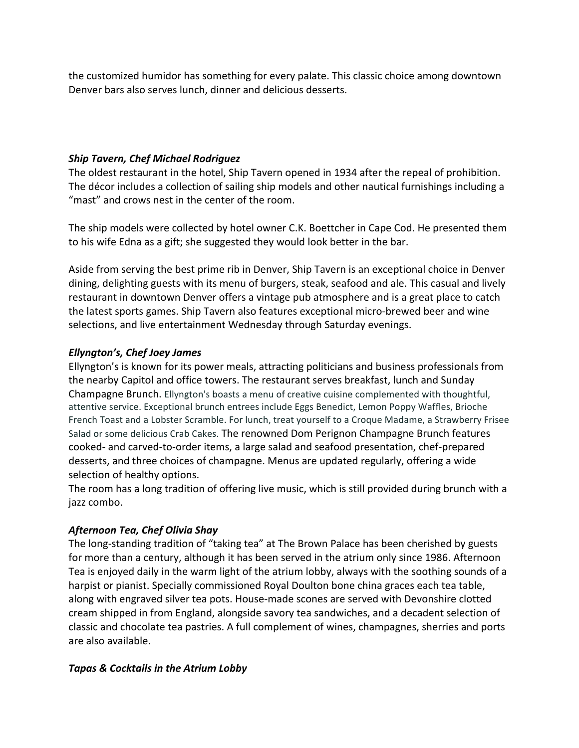the customized humidor has something for every palate. This classic choice among downtown Denver bars also serves lunch, dinner and delicious desserts.

## *Ship Tavern, Chef Michael Rodriguez*

The oldest restaurant in the hotel, Ship Tavern opened in 1934 after the repeal of prohibition. The décor includes a collection of sailing ship models and other nautical furnishings including a "mast" and crows nest in the center of the room.

The ship models were collected by hotel owner C.K. Boettcher in Cape Cod. He presented them to his wife Edna as a gift; she suggested they would look better in the bar.

Aside from serving the best prime rib in Denver, Ship Tavern is an exceptional choice in Denver dining, delighting guests with its menu of burgers, steak, seafood and ale. This casual and lively restaurant in downtown Denver offers a vintage pub atmosphere and is a great place to catch the latest sports games. Ship Tavern also features exceptional micro-brewed beer and wine selections, and live entertainment Wednesday through Saturday evenings.

# *Ellyngton's, Chef Joey James*

Ellyngton's is known for its power meals, attracting politicians and business professionals from the nearby Capitol and office towers. The restaurant serves breakfast, lunch and Sunday Champagne Brunch. Ellyngton's boasts a menu of creative cuisine complemented with thoughtful, attentive service. Exceptional brunch entrees include Eggs Benedict, Lemon Poppy Waffles, Brioche French Toast and a Lobster Scramble. For lunch, treat yourself to a Croque Madame, a Strawberry Frisee Salad or some delicious Crab Cakes. The renowned Dom Perignon Champagne Brunch features cooked- and carved-to-order items, a large salad and seafood presentation, chef-prepared desserts, and three choices of champagne. Menus are updated regularly, offering a wide selection of healthy options.

The room has a long tradition of offering live music, which is still provided during brunch with a jazz combo.

# *Afternoon Tea, Chef Olivia Shay*

The long-standing tradition of "taking tea" at The Brown Palace has been cherished by guests for more than a century, although it has been served in the atrium only since 1986. Afternoon Tea is enjoyed daily in the warm light of the atrium lobby, always with the soothing sounds of a harpist or pianist. Specially commissioned Royal Doulton bone china graces each tea table, along with engraved silver tea pots. House-made scones are served with Devonshire clotted cream shipped in from England, alongside savory tea sandwiches, and a decadent selection of classic and chocolate tea pastries. A full complement of wines, champagnes, sherries and ports are also available.

# *Tapas & Cocktails in the Atrium Lobby*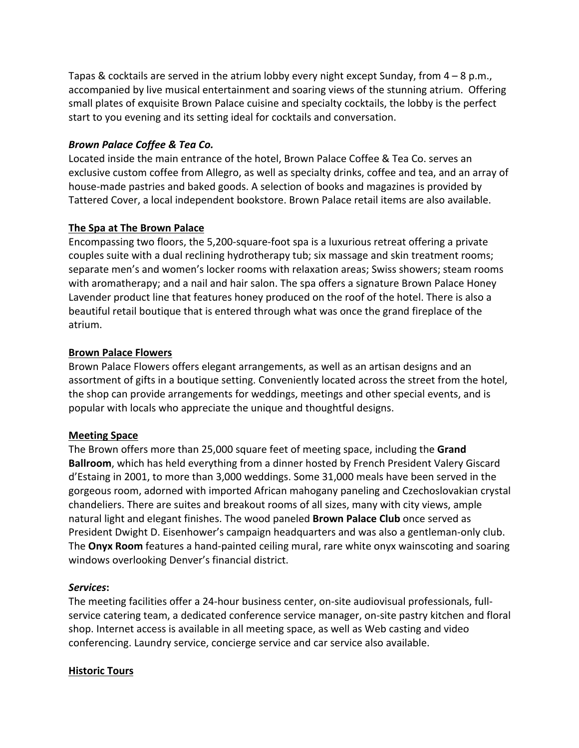Tapas & cocktails are served in the atrium lobby every night except Sunday, from  $4 - 8$  p.m., accompanied by live musical entertainment and soaring views of the stunning atrium. Offering small plates of exquisite Brown Palace cuisine and specialty cocktails, the lobby is the perfect start to you evening and its setting ideal for cocktails and conversation.

## *Brown Palace Coffee & Tea Co.*

Located inside the main entrance of the hotel, Brown Palace Coffee & Tea Co. serves an exclusive custom coffee from Allegro, as well as specialty drinks, coffee and tea, and an array of house-made pastries and baked goods. A selection of books and magazines is provided by Tattered Cover, a local independent bookstore. Brown Palace retail items are also available.

# **The Spa at The Brown Palace**

Encompassing two floors, the 5,200-square-foot spa is a luxurious retreat offering a private couples suite with a dual reclining hydrotherapy tub; six massage and skin treatment rooms; separate men's and women's locker rooms with relaxation areas; Swiss showers; steam rooms with aromatherapy; and a nail and hair salon. The spa offers a signature Brown Palace Honey Lavender product line that features honey produced on the roof of the hotel. There is also a beautiful retail boutique that is entered through what was once the grand fireplace of the atrium.

## **Brown Palace Flowers**

Brown Palace Flowers offers elegant arrangements, as well as an artisan designs and an assortment of gifts in a boutique setting. Conveniently located across the street from the hotel, the shop can provide arrangements for weddings, meetings and other special events, and is popular with locals who appreciate the unique and thoughtful designs.

## **Meeting Space**

The Brown offers more than 25,000 square feet of meeting space, including the Grand **Ballroom**, which has held everything from a dinner hosted by French President Valery Giscard d'Estaing in 2001, to more than 3,000 weddings. Some 31,000 meals have been served in the gorgeous room, adorned with imported African mahogany paneling and Czechoslovakian crystal chandeliers. There are suites and breakout rooms of all sizes, many with city views, ample natural light and elegant finishes. The wood paneled **Brown Palace Club** once served as President Dwight D. Eisenhower's campaign headquarters and was also a gentleman-only club. The **Onyx Room** features a hand-painted ceiling mural, rare white onyx wainscoting and soaring windows overlooking Denver's financial district.

## *Services***:**

The meeting facilities offer a 24-hour business center, on-site audiovisual professionals, fullservice catering team, a dedicated conference service manager, on-site pastry kitchen and floral shop. Internet access is available in all meeting space, as well as Web casting and video conferencing. Laundry service, concierge service and car service also available.

## **Historic Tours**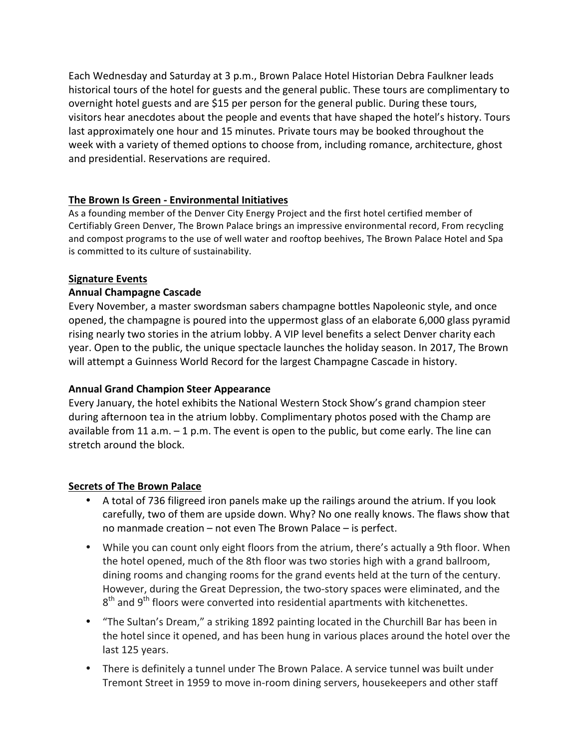Each Wednesday and Saturday at 3 p.m., Brown Palace Hotel Historian Debra Faulkner leads historical tours of the hotel for guests and the general public. These tours are complimentary to overnight hotel guests and are \$15 per person for the general public. During these tours, visitors hear anecdotes about the people and events that have shaped the hotel's history. Tours last approximately one hour and 15 minutes. Private tours may be booked throughout the week with a variety of themed options to choose from, including romance, architecture, ghost and presidential. Reservations are required.

## **The Brown Is Green - Environmental Initiatives**

As a founding member of the Denver City Energy Project and the first hotel certified member of Certifiably Green Denver, The Brown Palace brings an impressive environmental record, From recycling and compost programs to the use of well water and rooftop beehives, The Brown Palace Hotel and Spa is committed to its culture of sustainability.

## **Signature Events**

## **Annual Champagne Cascade**

Every November, a master swordsman sabers champagne bottles Napoleonic style, and once opened, the champagne is poured into the uppermost glass of an elaborate 6,000 glass pyramid rising nearly two stories in the atrium lobby. A VIP level benefits a select Denver charity each year. Open to the public, the unique spectacle launches the holiday season. In 2017, The Brown will attempt a Guinness World Record for the largest Champagne Cascade in history.

## **Annual Grand Champion Steer Appearance**

Every January, the hotel exhibits the National Western Stock Show's grand champion steer during afternoon tea in the atrium lobby. Complimentary photos posed with the Champ are available from 11 a.m.  $-1$  p.m. The event is open to the public, but come early. The line can stretch around the block.

## **Secrets of The Brown Palace**

- A total of 736 filigreed iron panels make up the railings around the atrium. If you look carefully, two of them are upside down. Why? No one really knows. The flaws show that no manmade creation – not even The Brown Palace – is perfect.
- While you can count only eight floors from the atrium, there's actually a 9th floor. When the hotel opened, much of the 8th floor was two stories high with a grand ballroom, dining rooms and changing rooms for the grand events held at the turn of the century. However, during the Great Depression, the two-story spaces were eliminated, and the  $8<sup>th</sup>$  and  $9<sup>th</sup>$  floors were converted into residential apartments with kitchenettes.
- "The Sultan's Dream," a striking 1892 painting located in the Churchill Bar has been in the hotel since it opened, and has been hung in various places around the hotel over the last 125 years.
- There is definitely a tunnel under The Brown Palace. A service tunnel was built under Tremont Street in 1959 to move in-room dining servers, housekeepers and other staff